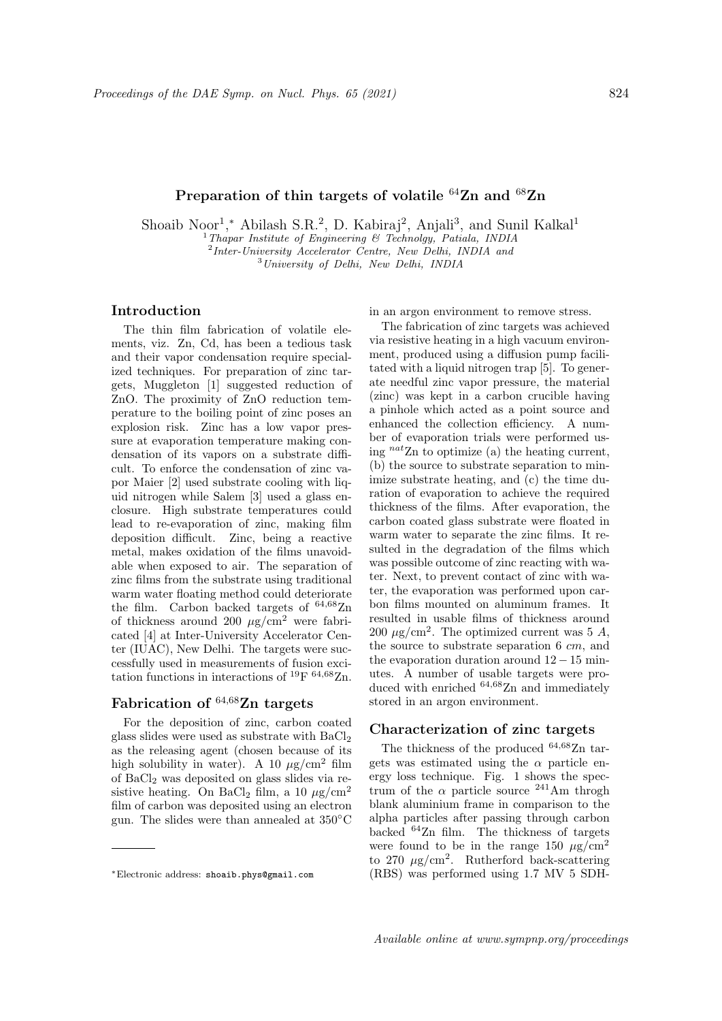# Preparation of thin targets of volatile  $64$ Zn and  $68$ Zn

Shoaib Noor<sup>1</sup>,\* Abilash S.R.<sup>2</sup>, D. Kabiraj<sup>2</sup>, Anjali<sup>3</sup>, and Sunil Kalkal<sup>1</sup>

<sup>1</sup>Thapar Institute of Engineering & Technolgy, Patiala, INDIA <sup>2</sup>Inter-University Accelerator Centre, New Delhi, INDIA and

 $3$ University of Delhi, New Delhi, INDIA

### Introduction

The thin film fabrication of volatile elements, viz. Zn, Cd, has been a tedious task and their vapor condensation require specialized techniques. For preparation of zinc targets, Muggleton [1] suggested reduction of ZnO. The proximity of ZnO reduction temperature to the boiling point of zinc poses an explosion risk. Zinc has a low vapor pressure at evaporation temperature making condensation of its vapors on a substrate difficult. To enforce the condensation of zinc vapor Maier [2] used substrate cooling with liquid nitrogen while Salem [3] used a glass enclosure. High substrate temperatures could lead to re-evaporation of zinc, making film deposition difficult. Zinc, being a reactive metal, makes oxidation of the films unavoidable when exposed to air. The separation of zinc films from the substrate using traditional warm water floating method could deteriorate the film. Carbon backed targets of <sup>64</sup>,68Zn of thickness around 200  $\mu$ g/cm<sup>2</sup> were fabricated [4] at Inter-University Accelerator Center (IUAC), New Delhi. The targets were successfully used in measurements of fusion excitation functions in interactions of <sup>19</sup>F <sup>64,68</sup>Zn.

## Fabrication of  $64,68$ Zn targets

For the deposition of zinc, carbon coated glass slides were used as substrate with BaCl<sup>2</sup> as the releasing agent (chosen because of its high solubility in water). A 10  $\mu$ g/cm<sup>2</sup> film of  $BaCl<sub>2</sub>$  was deposited on glass slides via resistive heating. On BaCl<sub>2</sub> film, a 10  $\mu$ g/cm<sup>2</sup> film of carbon was deposited using an electron gun. The slides were than annealed at 350◦C

in an argon environment to remove stress.

The fabrication of zinc targets was achieved via resistive heating in a high vacuum environment, produced using a diffusion pump facilitated with a liquid nitrogen trap [5]. To generate needful zinc vapor pressure, the material (zinc) was kept in a carbon crucible having a pinhole which acted as a point source and enhanced the collection efficiency. A number of evaporation trials were performed using  $^{nat}Zn$  to optimize (a) the heating current, (b) the source to substrate separation to minimize substrate heating, and (c) the time duration of evaporation to achieve the required thickness of the films. After evaporation, the carbon coated glass substrate were floated in warm water to separate the zinc films. It resulted in the degradation of the films which was possible outcome of zinc reacting with water. Next, to prevent contact of zinc with water, the evaporation was performed upon carbon films mounted on aluminum frames. It resulted in usable films of thickness around 200  $\mu$ g/cm<sup>2</sup>. The optimized current was 5 A, the source to substrate separation 6 cm, and the evaporation duration around  $12 - 15$  minutes. A number of usable targets were produced with enriched  $64,68$ Zn and immediately stored in an argon environment.

#### Characterization of zinc targets

The thickness of the produced  $64,68$ Zn targets was estimated using the  $\alpha$  particle energy loss technique. Fig. 1 shows the spectrum of the  $\alpha$  particle source <sup>241</sup>Am throgh blank aluminium frame in comparison to the alpha particles after passing through carbon backed <sup>64</sup>Zn film. The thickness of targets were found to be in the range 150  $\mu$ g/cm<sup>2</sup> to 270  $\mu$ g/cm<sup>2</sup>. Rutherford back-scattering (RBS) was performed using 1.7 MV 5 SDH-

<sup>∗</sup>Electronic address: shoaib.phys@gmail.com